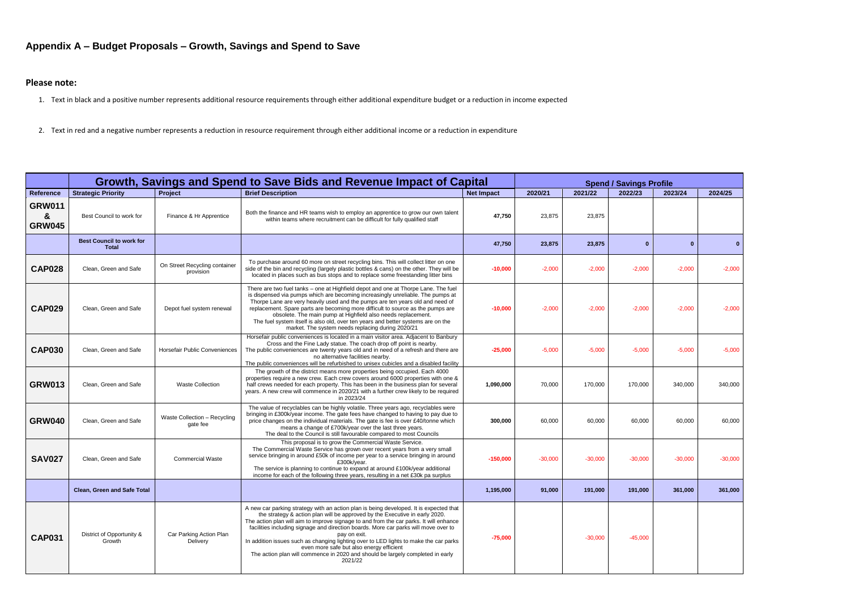## **Appendix A – Budget Proposals – Growth, Savings and Spend to Save**

## **Please note:**

- 1. Text in black and a positive number represents additional resource requirements through either additional expenditure budget or a reduction in income expected
- 2. Text in red and a negative number represents a reduction in resource requirement through either additional income or a reduction in expenditure

|                                     |                                                 |                                            | Growth, Savings and Spend to Save Bids and Revenue Impact of Capital                                                                                                                                                                                                                                                                                                                                                                                                                                                                                                                                     |                   | <b>Spend / Savings Profile</b> |           |              |              |              |
|-------------------------------------|-------------------------------------------------|--------------------------------------------|----------------------------------------------------------------------------------------------------------------------------------------------------------------------------------------------------------------------------------------------------------------------------------------------------------------------------------------------------------------------------------------------------------------------------------------------------------------------------------------------------------------------------------------------------------------------------------------------------------|-------------------|--------------------------------|-----------|--------------|--------------|--------------|
| Reference                           | <b>Strategic Priority</b>                       | <b>Project</b>                             | <b>Brief Description</b>                                                                                                                                                                                                                                                                                                                                                                                                                                                                                                                                                                                 | <b>Net Impact</b> | 2020/21                        | 2021/22   | 2022/23      | 2023/24      | 2024/25      |
| <b>GRW011</b><br>&<br><b>GRW045</b> | Best Council to work for                        | Finance & Hr Apprentice                    | Both the finance and HR teams wish to employ an apprentice to grow our own talent<br>within teams where recruitment can be difficult for fully qualified staff                                                                                                                                                                                                                                                                                                                                                                                                                                           | 47,750            | 23,875                         | 23,875    |              |              |              |
|                                     | <b>Best Council to work for</b><br><b>Total</b> |                                            |                                                                                                                                                                                                                                                                                                                                                                                                                                                                                                                                                                                                          | 47,750            | 23,875                         | 23,875    | $\mathbf{0}$ | $\mathbf{0}$ | $\mathbf{0}$ |
| <b>CAP028</b>                       | Clean, Green and Safe                           | On Street Recycling container<br>provision | To purchase around 60 more on street recycling bins. This will collect litter on one<br>side of the bin and recycling (largely plastic bottles & cans) on the other. They will be<br>located in places such as bus stops and to replace some freestanding litter bins                                                                                                                                                                                                                                                                                                                                    | $-10,000$         | $-2,000$                       | $-2,000$  | $-2,000$     | $-2,000$     | $-2,000$     |
| <b>CAP029</b>                       | Clean, Green and Safe                           | Depot fuel system renewal                  | There are two fuel tanks - one at Highfield depot and one at Thorpe Lane. The fuel<br>is dispensed via pumps which are becoming increasingly unreliable. The pumps at<br>Thorpe Lane are very heavily used and the pumps are ten years old and need of<br>replacement. Spare parts are becoming more difficult to source as the pumps are<br>obsolete. The main pump at Highfield also needs replacement.<br>The fuel system itself is also old, over ten years and better systems are on the<br>market. The system needs replacing during 2020/21                                                       | $-10,000$         | $-2,000$                       | $-2,000$  | $-2,000$     | $-2,000$     | $-2,000$     |
| <b>CAP030</b>                       | Clean, Green and Safe                           | Horsefair Public Conveniences              | Horsefair public conveniences is located in a main visitor area. Adjacent to Banbury<br>Cross and the Fine Lady statue. The coach drop off point is nearby.<br>The public conveniences are twenty years old and in need of a refresh and there are<br>no alternative facilities nearby.<br>The public conveniences will be refurbished to unisex cubicles and a disabled facility                                                                                                                                                                                                                        | $-25,000$         | $-5,000$                       | $-5,000$  | $-5,000$     | $-5,000$     | $-5,000$     |
| <b>GRW013</b>                       | Clean, Green and Safe                           | <b>Waste Collection</b>                    | The growth of the district means more properties being occupied. Each 4000<br>properties require a new crew. Each crew covers around 6000 properties with one &<br>half crews needed for each property. This has been in the business plan for several<br>years. A new crew will commence in 2020/21 with a further crew likely to be required<br>in 2023/24                                                                                                                                                                                                                                             | 1,090,000         | 70,000                         | 170,000   | 170,000      | 340,000      | 340,000      |
| <b>GRW040</b>                       | Clean, Green and Safe                           | Waste Collection - Recycling<br>gate fee   | The value of recyclables can be highly volatile. Three years ago, recyclables were<br>bringing in £300k/year income. The gate fees have changed to having to pay due to<br>price changes on the individual materials. The gate is fee is over £40/tonne which<br>means a change of £700k/year over the last three years.<br>The deal to the Council is still favourable compared to most Councils                                                                                                                                                                                                        | 300,000           | 60,000                         | 60,000    | 60,000       | 60,000       | 60,000       |
| <b>SAV027</b>                       | Clean, Green and Safe                           | <b>Commercial Waste</b>                    | This proposal is to grow the Commercial Waste Service.<br>The Commercial Waste Service has grown over recent years from a very small<br>service bringing in around £50k of income per year to a service bringing in around<br>£300k/year.<br>The service is planning to continue to expand at around £100k/year additional<br>income for each of the following three years, resulting in a net £30k pa surplus                                                                                                                                                                                           | $-150,000$        | $-30,000$                      | $-30,000$ | $-30,000$    | $-30,000$    | $-30,000$    |
|                                     | <b>Clean, Green and Safe Total</b>              |                                            |                                                                                                                                                                                                                                                                                                                                                                                                                                                                                                                                                                                                          | 1,195,000         | 91,000                         | 191,000   | 191,000      | 361,000      | 361,000      |
| <b>CAP031</b>                       | District of Opportunity &<br>Growth             | Car Parking Action Plan<br>Delivery        | A new car parking strategy with an action plan is being developed. It is expected that<br>the strategy & action plan will be approved by the Executive in early 2020.<br>The action plan will aim to improve signage to and from the car parks. It will enhance<br>facilities including signage and direction boards. More car parks will move over to<br>pay on exit.<br>In addition issues such as changing lighting over to LED lights to make the car parks<br>even more safe but also energy efficient<br>The action plan will commence in 2020 and should be largely completed in early<br>2021/22 | $-75,000$         |                                | $-30,000$ | $-45,000$    |              |              |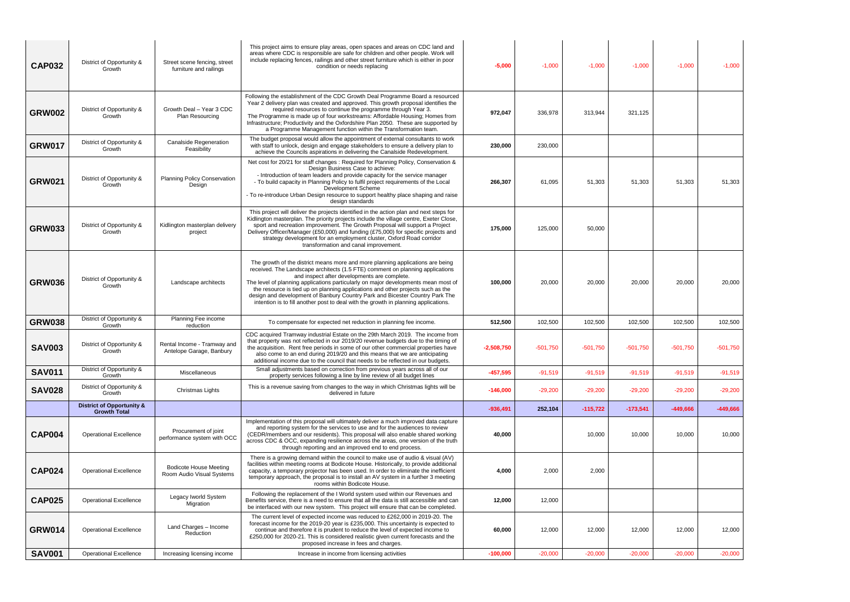| <b>CAP032</b> | District of Opportunity &<br>Growth                         | Street scene fencing, street<br>furniture and railings     | This project aims to ensure play areas, open spaces and areas on CDC land and<br>areas where CDC is responsible are safe for children and other people. Work will<br>include replacing fences, railings and other street furniture which is either in poor<br>condition or needs replacing                                                                                                                                                                                                                                                                      | $-5,000$     | $-1,000$   | $-1,000$   | $-1,000$   | $-1,000$   | $-1,000$   |
|---------------|-------------------------------------------------------------|------------------------------------------------------------|-----------------------------------------------------------------------------------------------------------------------------------------------------------------------------------------------------------------------------------------------------------------------------------------------------------------------------------------------------------------------------------------------------------------------------------------------------------------------------------------------------------------------------------------------------------------|--------------|------------|------------|------------|------------|------------|
| <b>GRW002</b> | District of Opportunity &<br>Growth                         | Growth Deal - Year 3 CDC<br>Plan Resourcing                | Following the establishment of the CDC Growth Deal Programme Board a resourced<br>Year 2 delivery plan was created and approved. This growth proposal identifies the<br>required resources to continue the programme through Year 3.<br>The Programme is made up of four workstreams: Affordable Housing; Homes from<br>Infrastructure; Productivity and the Oxfordshire Plan 2050. These are supported by<br>a Programme Management function within the Transformation team.                                                                                   | 972,047      | 336,978    | 313,944    | 321,125    |            |            |
| <b>GRW017</b> | District of Opportunity &<br>Growth                         | <b>Canalside Regeneration</b><br>Feasibility               | The budget proposal would allow the appointment of external consultants to work<br>with staff to unlock, design and engage stakeholders to ensure a delivery plan to<br>achieve the Councils aspirations in delivering the Canalside Redevelopment.                                                                                                                                                                                                                                                                                                             | 230,000      | 230,000    |            |            |            |            |
| <b>GRW021</b> | District of Opportunity &<br>Growth                         | <b>Planning Policy Conservation</b><br>Design              | Net cost for 20/21 for staff changes : Required for Planning Policy, Conservation &<br>Design Business Case to achieve:<br>- Introduction of team leaders and provide capacity for the service manager<br>- To build capacity in Planning Policy to fulfil project requirements of the Local<br>Development Scheme<br>- To re-introduce Urban Design resource to support healthy place shaping and raise<br>design standards                                                                                                                                    | 266,307      | 61,095     | 51,303     | 51,303     | 51,303     | 51,303     |
| <b>GRW033</b> | District of Opportunity &<br>Growth                         | Kidlington masterplan delivery<br>project                  | This project will deliver the projects identified in the action plan and next steps for<br>Kidlington masterplan. The priority projects include the village centre, Exeter Close,<br>sport and recreation improvement. The Growth Proposal will support a Project<br>Delivery Officer/Manager (£50,000) and funding (£75,000) for specific projects and<br>strategy development for an employment cluster, Oxford Road corridor<br>transformation and canal improvement.                                                                                        | 175,000      | 125,000    | 50,000     |            |            |            |
| <b>GRW036</b> | District of Opportunity &<br>Growth                         | Landscape architects                                       | The growth of the district means more and more planning applications are being<br>received. The Landscape architects (1.5 FTE) comment on planning applications<br>and inspect after developments are complete.<br>The level of planning applications particularly on major developments mean most of<br>the resource is tied up on planning applications and other projects such as the<br>design and development of Banbury Country Park and Bicester Country Park The<br>intention is to fill another post to deal with the growth in planning applications. | 100,000      | 20,000     | 20,000     | 20,000     | 20,000     | 20,000     |
| <b>GRW038</b> | District of Opportunity &<br>Growth                         | Planning Fee income<br>reduction                           | To compensate for expected net reduction in planning fee income.                                                                                                                                                                                                                                                                                                                                                                                                                                                                                                | 512,500      | 102,500    | 102,500    | 102,500    | 102,500    | 102,500    |
| <b>SAV003</b> | District of Opportunity &<br>Growth                         | Rental Income - Tramway and<br>Antelope Garage, Banbury    | CDC acquired Tramway industrial Estate on the 29th March 2019. The income from<br>that property was not reflected in our 2019/20 revenue budgets due to the timing of<br>the acquisition. Rent free periods in some of our other commercial properties have<br>also come to an end during 2019/20 and this means that we are anticipating<br>additional income due to the council that needs to be reflected in our budgets.                                                                                                                                    | $-2,508,750$ | $-501,750$ | $-501,750$ | $-501,750$ | $-501,750$ | $-501,750$ |
| <b>SAV011</b> | District of Opportunity &<br>Growth                         | Miscellaneous                                              | Small adjustments based on correction from previous years across all of our<br>property services following a line by line review of all budget lines                                                                                                                                                                                                                                                                                                                                                                                                            | $-457,595$   | $-91,519$  | $-91,519$  | $-91,519$  | $-91,519$  | $-91,519$  |
| <b>SAV028</b> | District of Opportunity &<br>Growth                         | Christmas Lights                                           | This is a revenue saving from changes to the way in which Christmas lights will be<br>delivered in future                                                                                                                                                                                                                                                                                                                                                                                                                                                       | $-146,000$   | $-29,200$  | $-29,200$  | $-29,200$  | $-29,200$  | $-29,200$  |
|               | <b>District of Opportunity &amp;</b><br><b>Growth Total</b> |                                                            |                                                                                                                                                                                                                                                                                                                                                                                                                                                                                                                                                                 | $-936,491$   | 252,104    | $-115,722$ | $-173,541$ | $-449,666$ | $-449,666$ |
| <b>CAP004</b> | <b>Operational Excellence</b>                               | Procurement of joint<br>performance system with OCC        | Implementation of this proposal will ultimately deliver a much improved data capture<br>and reporting system for the services to use and for the audiences to review<br>(CEDR/members and our residents). This proposal will also enable shared working<br>across CDC & OCC, expanding resilience across the areas, one version of the truth<br>through reporting and an improved end to end process.                                                                                                                                                           | 40,000       |            | 10,000     | 10,000     | 10,000     | 10,000     |
| <b>CAP024</b> | <b>Operational Excellence</b>                               | <b>Bodicote House Meeting</b><br>Room Audio Visual Systems | There is a growing demand within the council to make use of audio & visual (AV)<br>facilities within meeting rooms at Bodicote House. Historically, to provide additional<br>capacity, a temporary projector has been used. In order to eliminate the inefficient<br>temporary approach, the proposal is to install an AV system in a further 3 meeting<br>rooms within Bodicote House.                                                                                                                                                                         | 4,000        | 2,000      | 2,000      |            |            |            |
| <b>CAP025</b> | <b>Operational Excellence</b>                               | Legacy Iworld System<br>Migration                          | Following the replacement of the I World system used within our Revenues and<br>Benefits service, there is a need to ensure that all the data is still accessible and can<br>be interfaced with our new system. This project will ensure that can be completed.                                                                                                                                                                                                                                                                                                 | 12,000       | 12,000     |            |            |            |            |
| <b>GRW014</b> | <b>Operational Excellence</b>                               | Land Charges - Income<br>Reduction                         | The current level of expected income was reduced to £262,000 in 2019-20. The<br>forecast income for the 2019-20 year is £235,000. This uncertainty is expected to<br>continue and therefore it is prudent to reduce the level of expected income to<br>£250,000 for 2020-21. This is considered realistic given current forecasts and the<br>proposed increase in fees and charges.                                                                                                                                                                             | 60,000       | 12,000     | 12,000     | 12,000     | 12,000     | 12,000     |
| <b>SAV001</b> | <b>Operational Excellence</b>                               | Increasing licensing income                                | Increase in income from licensing activities                                                                                                                                                                                                                                                                                                                                                                                                                                                                                                                    | $-100,000$   | $-20,000$  | $-20,000$  | $-20,000$  | $-20,000$  | $-20,000$  |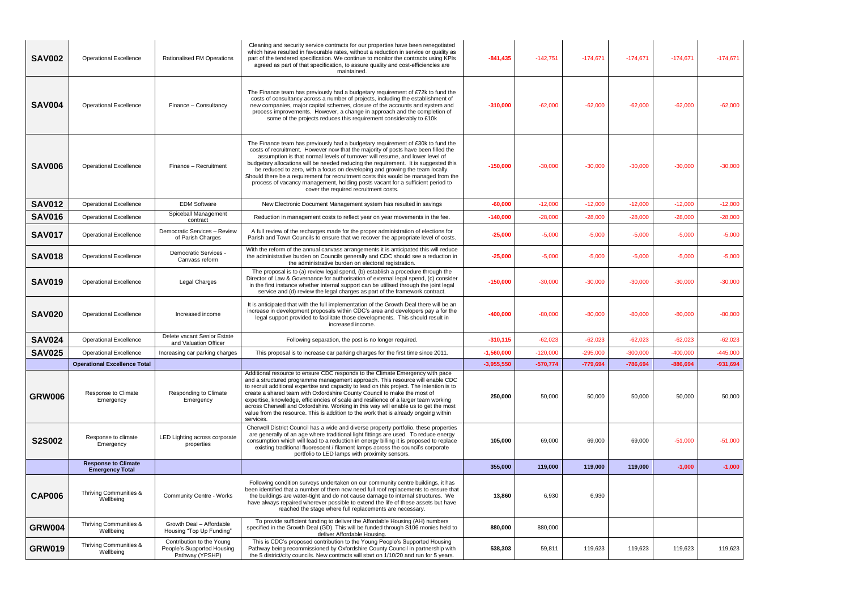| <b>SAV002</b> | <b>Operational Excellence</b>                        | Rationalised FM Operations                                                 | Cleaning and security service contracts for our properties have been renegotiated<br>which have resulted in favourable rates, without a reduction in service or quality as<br>part of the tendered specification. We continue to monitor the contracts using KPIs<br>agreed as part of that specification, to assure quality and cost-efficiencies are<br>maintained.                                                                                                                                                                                                                                                                        | $-841,435$   | $-142,751$ | $-174,671$ | $-174,671$ | $-174,671$ | $-174,671$ |
|---------------|------------------------------------------------------|----------------------------------------------------------------------------|----------------------------------------------------------------------------------------------------------------------------------------------------------------------------------------------------------------------------------------------------------------------------------------------------------------------------------------------------------------------------------------------------------------------------------------------------------------------------------------------------------------------------------------------------------------------------------------------------------------------------------------------|--------------|------------|------------|------------|------------|------------|
| <b>SAV004</b> | <b>Operational Excellence</b>                        | Finance - Consultancy                                                      | The Finance team has previously had a budgetary requirement of £72k to fund the<br>costs of consultancy across a number of projects, including the establishment of<br>new companies, major capital schemes, closure of the accounts and system and<br>process improvements. However, a change in approach and the completion of<br>some of the projects reduces this requirement considerably to £10k                                                                                                                                                                                                                                       | $-310,000$   | $-62,000$  | $-62,000$  | $-62,000$  | $-62,000$  | $-62,000$  |
| <b>SAV006</b> | <b>Operational Excellence</b>                        | Finance - Recruitment                                                      | The Finance team has previously had a budgetary requirement of £30k to fund the<br>costs of recruitment. However now that the majority of posts have been filled the<br>assumption is that normal levels of turnover will resume, and lower level of<br>budgetary allocations will be needed reducing the requirement. It is suggested this<br>be reduced to zero, with a focus on developing and growing the team locally.<br>Should there be a requirement for recruitment costs this would be managed from the<br>process of vacancy management, holding posts vacant for a sufficient period to<br>cover the required recruitment costs. | $-150,000$   | $-30,000$  | $-30,000$  | $-30,000$  | $-30,000$  | $-30,000$  |
| <b>SAV012</b> | <b>Operational Excellence</b>                        | <b>EDM Software</b>                                                        | New Electronic Document Management system has resulted in savings                                                                                                                                                                                                                                                                                                                                                                                                                                                                                                                                                                            | -60,000      | $-12,000$  | $-12,000$  | $-12,000$  | $-12,000$  | $-12,000$  |
| <b>SAV016</b> | <b>Operational Excellence</b>                        | Spiceball Management<br>contract                                           | Reduction in management costs to reflect year on year movements in the fee.                                                                                                                                                                                                                                                                                                                                                                                                                                                                                                                                                                  | $-140,000$   | $-28,000$  | $-28,000$  | $-28,000$  | $-28,000$  | $-28,000$  |
| <b>SAV017</b> | <b>Operational Excellence</b>                        | Democratic Services - Review<br>of Parish Charges                          | A full review of the recharges made for the proper administration of elections for<br>Parish and Town Councils to ensure that we recover the appropriate level of costs.                                                                                                                                                                                                                                                                                                                                                                                                                                                                     | $-25,000$    | $-5,000$   | $-5,000$   | $-5,000$   | $-5,000$   | $-5,000$   |
| <b>SAV018</b> | <b>Operational Excellence</b>                        | <b>Democratic Services -</b><br>Canvass reform                             | With the reform of the annual canvass arrangements it is anticipated this will reduce<br>the administrative burden on Councils generally and CDC should see a reduction in<br>the administrative burden on electoral registration.                                                                                                                                                                                                                                                                                                                                                                                                           | $-25,000$    | $-5,000$   | $-5,000$   | $-5,000$   | $-5,000$   | $-5,000$   |
| <b>SAV019</b> | <b>Operational Excellence</b>                        | <b>Legal Charges</b>                                                       | The proposal is to (a) review legal spend, (b) establish a procedure through the<br>Director of Law & Governance for authorisation of external legal spend, (c) consider<br>in the first instance whether internal support can be utilised through the joint legal<br>service and (d) review the legal charges as part of the framework contract.                                                                                                                                                                                                                                                                                            | $-150,000$   | $-30,000$  | $-30,000$  | $-30,000$  | $-30,000$  | $-30,000$  |
| <b>SAV020</b> | <b>Operational Excellence</b>                        | Increased income                                                           | It is anticipated that with the full implementation of the Growth Deal there will be an<br>increase in development proposals within CDC's area and developers pay a for the<br>legal support provided to facilitate those developments. This should result in<br>increased income.                                                                                                                                                                                                                                                                                                                                                           | -400,000     | $-80,000$  | $-80,000$  | $-80,000$  | $-80,000$  | $-80,000$  |
| <b>SAV024</b> | <b>Operational Excellence</b>                        | Delete vacant Senior Estate<br>and Valuation Officer                       | Following separation, the post is no longer required.                                                                                                                                                                                                                                                                                                                                                                                                                                                                                                                                                                                        | $-310,115$   | $-62,023$  | $-62,023$  | $-62,023$  | $-62,023$  | $-62,023$  |
| <b>SAV025</b> | <b>Operational Excellence</b>                        | Increasing car parking charges                                             | This proposal is to increase car parking charges for the first time since 2011.                                                                                                                                                                                                                                                                                                                                                                                                                                                                                                                                                              | $-1,560,000$ | $-120,000$ | $-295,000$ | $-300,000$ | $-400,000$ | $-445,000$ |
|               | <b>Operational Excellence Total</b>                  |                                                                            |                                                                                                                                                                                                                                                                                                                                                                                                                                                                                                                                                                                                                                              | $-3,955,550$ | $-570,774$ | $-779,694$ | $-786,694$ | $-886,694$ | $-931,694$ |
| <b>GRW006</b> | Response to Climate<br>Emergency                     | Responding to Climate<br>Emergency                                         | Additional resource to ensure CDC responds to the Climate Emergency with pace<br>and a structured programme management approach. This resource will enable CDC<br>to recruit additional expertise and capacity to lead on this project. The intention is to<br>create a shared team with Oxfordshire County Council to make the most of<br>expertise, knowledge, efficiencies of scale and resilience of a larger team working<br>across Cherwell and Oxfordshire. Working in this way will enable us to get the most<br>value from the resource. This is addition to the work that is already ongoing within<br>services.                   | 250,000      | 50,000     | 50,000     | 50,000     | 50,000     | 50,000     |
| <b>S2S002</b> | Response to climate<br>Emergency                     | LED Lighting across corporate<br>properties                                | Cherwell District Council has a wide and diverse property portfolio, these properties<br>are generally of an age where traditional light fittings are used. To reduce energy<br>consumption which will lead to a reduction in energy billing it is proposed to replace<br>existing traditional fluorescent / filament lamps across the council's corporate<br>portfolio to LED lamps with proximity sensors.                                                                                                                                                                                                                                 | 105,000      | 69,000     | 69,000     | 69,000     | $-51,000$  | $-51,000$  |
|               | <b>Response to Climate</b><br><b>Emergency Total</b> |                                                                            |                                                                                                                                                                                                                                                                                                                                                                                                                                                                                                                                                                                                                                              | 355,000      | 119,000    | 119,000    | 119,000    | $-1,000$   | $-1,000$   |
| <b>CAP006</b> | Thriving Communities &<br>Wellbeing                  | <b>Community Centre - Works</b>                                            | Following condition surveys undertaken on our community centre buildings, it has<br>been identified that a number of them now need full roof replacements to ensure that<br>the buildings are water-tight and do not cause damage to internal structures. We<br>have always repaired wherever possible to extend the life of these assets but have<br>reached the stage where full replacements are necessary.                                                                                                                                                                                                                               | 13,860       | 6,930      | 6,930      |            |            |            |
| <b>GRW004</b> | Thriving Communities &<br>Wellbeing                  | Growth Deal - Affordable<br>Housing "Top Up Funding"                       | To provide sufficient funding to deliver the Affordable Housing (AH) numbers<br>specified in the Growth Deal (GD). This will be funded through S106 monies held to<br>deliver Affordable Housing.                                                                                                                                                                                                                                                                                                                                                                                                                                            | 880,000      | 880,000    |            |            |            |            |
| <b>GRW019</b> | Thriving Communities &<br>Wellbeing                  | Contribution to the Young<br>People's Supported Housing<br>Pathway (YPSHP) | This is CDC's proposed contribution to the Young People's Supported Housing<br>Pathway being recommissioned by Oxfordshire County Council in partnership with<br>the 5 district/city councils. New contracts will start on 1/10/20 and run for 5 years.                                                                                                                                                                                                                                                                                                                                                                                      | 538,303      | 59,811     | 119,623    | 119,623    | 119,623    | 119,623    |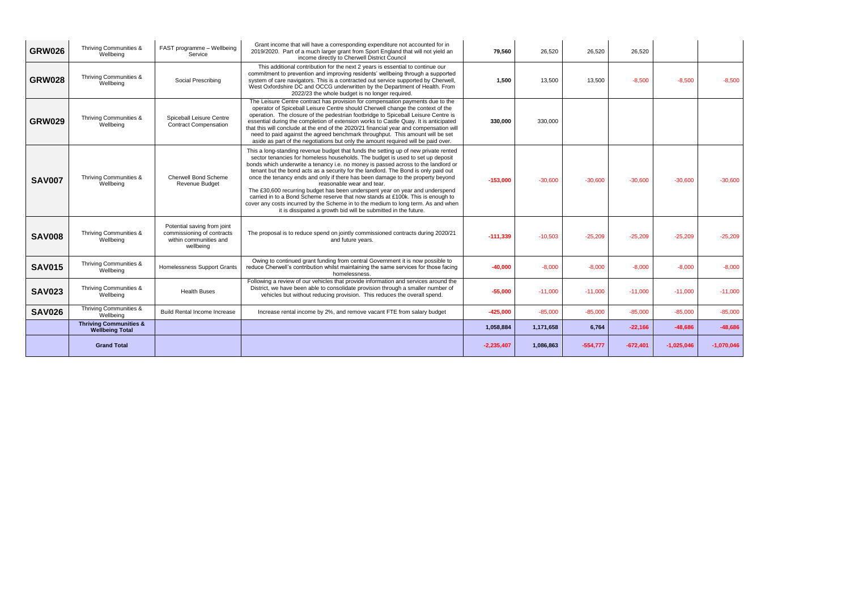| <b>GRW026</b> | Thriving Communities &<br>Wellbeing                         | FAST programme - Wellbeing<br>Service                                                            | Grant income that will have a corresponding expenditure not accounted for in<br>2019/2020. Part of a much larger grant from Sport England that will not yield an<br>income directly to Cherwell District Council                                                                                                                                                                                                                                                                                                                                                                                                                                                                                                                                                                           | 79,560       | 26,520    | 26,520     | 26,520     |              |              |
|---------------|-------------------------------------------------------------|--------------------------------------------------------------------------------------------------|--------------------------------------------------------------------------------------------------------------------------------------------------------------------------------------------------------------------------------------------------------------------------------------------------------------------------------------------------------------------------------------------------------------------------------------------------------------------------------------------------------------------------------------------------------------------------------------------------------------------------------------------------------------------------------------------------------------------------------------------------------------------------------------------|--------------|-----------|------------|------------|--------------|--------------|
| <b>GRW028</b> | Thriving Communities &<br>Wellbeing                         | Social Prescribing                                                                               | This additional contribution for the next 2 years is essential to continue our<br>commitment to prevention and improving residents' wellbeing through a supported<br>system of care navigators. This is a contracted out service supported by Cherwell,<br>West Oxfordshire DC and OCCG underwritten by the Department of Health. From<br>2022/23 the whole budget is no longer required.                                                                                                                                                                                                                                                                                                                                                                                                  | 1.500        | 13,500    | 13,500     | $-8.500$   | $-8.500$     | $-8,500$     |
| <b>GRW029</b> | <b>Thriving Communities &amp;</b><br>Wellbeing              | Spiceball Leisure Centre<br>Contract Compensation                                                | The Leisure Centre contract has provision for compensation payments due to the<br>operator of Spiceball Leisure Centre should Cherwell change the context of the<br>operation. The closure of the pedestrian footbridge to Spiceball Leisure Centre is<br>essential during the completion of extension works to Castle Quay. It is anticipated<br>that this will conclude at the end of the 2020/21 financial year and compensation will<br>need to paid against the agreed benchmark throughput. This amount will be set<br>aside as part of the negotiations but only the amount required will be paid over.                                                                                                                                                                             | 330,000      | 330,000   |            |            |              |              |
| <b>SAV007</b> | Thriving Communities &<br>Wellbeing                         | <b>Cherwell Bond Scheme</b><br>Revenue Budget                                                    | This a long-standing revenue budget that funds the setting up of new private rented<br>sector tenancies for homeless households. The budget is used to set up deposit<br>bonds which underwrite a tenancy i.e. no money is passed across to the landlord or<br>tenant but the bond acts as a security for the landlord. The Bond is only paid out<br>once the tenancy ends and only if there has been damage to the property beyond<br>reasonable wear and tear.<br>The £30,600 recurring budget has been underspent year on year and underspend<br>carried in to a Bond Scheme reserve that now stands at £100k. This is enough to<br>cover any costs incurred by the Scheme in to the medium to long term. As and when<br>it is dissipated a growth bid will be submitted in the future. | $-153,000$   | $-30,600$ | $-30,600$  | $-30,600$  | $-30,600$    | $-30,600$    |
| <b>SAV008</b> | Thriving Communities &<br>Wellbeing                         | Potential saving from joint<br>commissioning of contracts<br>within communities and<br>wellbeing | The proposal is to reduce spend on jointly commissioned contracts during 2020/21<br>and future years.                                                                                                                                                                                                                                                                                                                                                                                                                                                                                                                                                                                                                                                                                      | $-111,339$   | $-10,503$ | $-25,209$  | $-25,209$  | $-25,209$    | $-25,209$    |
| <b>SAV015</b> | Thriving Communities &<br>Wellbeing                         | Homelessness Support Grants                                                                      | Owing to continued grant funding from central Government it is now possible to<br>reduce Cherwell's contribution whilst maintaining the same services for those facing<br>homelessness.                                                                                                                                                                                                                                                                                                                                                                                                                                                                                                                                                                                                    | $-40.000$    | $-8,000$  | $-8,000$   | $-8,000$   | $-8,000$     | $-8,000$     |
| <b>SAV023</b> | Thriving Communities &<br>Wellbeing                         | <b>Health Buses</b>                                                                              | Following a review of our vehicles that provide information and services around the<br>District, we have been able to consolidate provision through a smaller number of<br>vehicles but without reducing provision. This reduces the overall spend.                                                                                                                                                                                                                                                                                                                                                                                                                                                                                                                                        | $-55,000$    | $-11,000$ | $-11,000$  | $-11,000$  | $-11,000$    | $-11,000$    |
| <b>SAV026</b> | Thriving Communities &<br>Wellbeing                         | <b>Build Rental Income Increase</b>                                                              | Increase rental income by 2%, and remove vacant FTE from salary budget                                                                                                                                                                                                                                                                                                                                                                                                                                                                                                                                                                                                                                                                                                                     | $-425,000$   | $-85,000$ | $-85,000$  | $-85,000$  | $-85,000$    | $-85,000$    |
|               | <b>Thriving Communities &amp;</b><br><b>Wellbeing Total</b> |                                                                                                  |                                                                                                                                                                                                                                                                                                                                                                                                                                                                                                                                                                                                                                                                                                                                                                                            | 1,058,884    | 1,171,658 | 6,764      | $-22,166$  | $-48,686$    | $-48,686$    |
|               | <b>Grand Total</b>                                          |                                                                                                  |                                                                                                                                                                                                                                                                                                                                                                                                                                                                                                                                                                                                                                                                                                                                                                                            | $-2,235,407$ | 1,086,863 | $-554,777$ | $-672,401$ | $-1,025,046$ | $-1,070,046$ |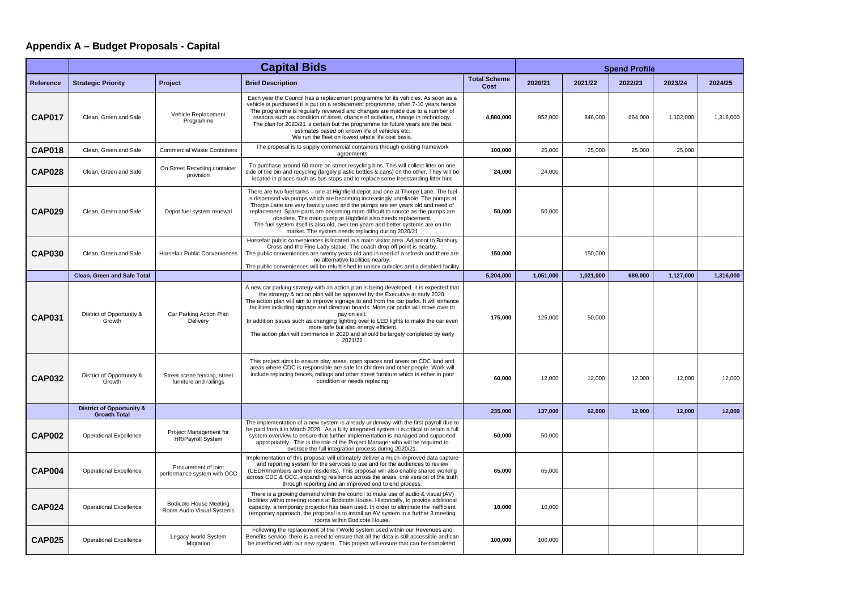## **Appendix A – Budget Proposals - Capital**

|                  | <b>Capital Bids</b>                                         |                                                            |                                                                                                                                                                                                                                                                                                                                                                                                                                                                                                                                                                                                    |                                    | <b>Spend Profile</b> |           |         |           |           |  |
|------------------|-------------------------------------------------------------|------------------------------------------------------------|----------------------------------------------------------------------------------------------------------------------------------------------------------------------------------------------------------------------------------------------------------------------------------------------------------------------------------------------------------------------------------------------------------------------------------------------------------------------------------------------------------------------------------------------------------------------------------------------------|------------------------------------|----------------------|-----------|---------|-----------|-----------|--|
| <b>Reference</b> | <b>Strategic Priority</b>                                   | Project                                                    | <b>Brief Description</b>                                                                                                                                                                                                                                                                                                                                                                                                                                                                                                                                                                           | <b>Total Scheme</b><br><b>Cost</b> | 2020/21              | 2021/22   | 2022/23 | 2023/24   | 2024/25   |  |
| <b>CAP017</b>    | Clean, Green and Safe                                       | Vehicle Replacement<br>Programme                           | Each year the Council has a replacement programme for its vehicles. As soon as a<br>vehicle is purchased it is put on a replacement programme, often 7-10 years hence.<br>The programme is regularly reviewed and changes are made due to a number of<br>reasons such as condition of asset, change of activities, change in technology.<br>The plan for 2020/21 is certain but the programme for future years are the best<br>estimates based on known life of vehicles etc.<br>We run the fleet on lowest whole life cost basis.                                                                 | 4,880,000                          | 952,000              | 846,000   | 664,000 | 1,102,000 | 1,316,000 |  |
| <b>CAP018</b>    | Clean, Green and Safe                                       | <b>Commercial Waste Containers</b>                         | The proposal is to supply commercial containers through existing framework<br>agreements                                                                                                                                                                                                                                                                                                                                                                                                                                                                                                           | 100,000                            | 25,000               | 25,000    | 25,000  | 25,000    |           |  |
| <b>CAP028</b>    | Clean, Green and Safe                                       | On Street Recycling container<br>provision                 | To purchase around 60 more on street recycling bins. This will collect litter on one<br>side of the bin and recycling (largely plastic bottles & cans) on the other. They will be<br>located in places such as bus stops and to replace some freestanding litter bins                                                                                                                                                                                                                                                                                                                              | 24,000                             | 24,000               |           |         |           |           |  |
| <b>CAP029</b>    | Clean, Green and Safe                                       | Depot fuel system renewal                                  | There are two fuel tanks - one at Highfield depot and one at Thorpe Lane. The fuel<br>is dispensed via pumps which are becoming increasingly unreliable. The pumps at<br>Thorpe Lane are very heavily used and the pumps are ten years old and need of<br>replacement. Spare parts are becoming more difficult to source as the pumps are<br>obsolete. The main pump at Highfield also needs replacement.<br>The fuel system itself is also old, over ten years and better systems are on the<br>market. The system needs replacing during 2020/21                                                 | 50,000                             | 50,000               |           |         |           |           |  |
| <b>CAP030</b>    | Clean, Green and Safe                                       | Horsefair Public Conveniences                              | Horsefair public conveniences is located in a main visitor area. Adjacent to Banbury<br>Cross and the Fine Lady statue. The coach drop off point is nearby.<br>The public conveniences are twenty years old and in need of a refresh and there are<br>no alternative facilities nearby.<br>The public conveniences will be refurbished to unisex cubicles and a disabled facility                                                                                                                                                                                                                  | 150,000                            |                      | 150,000   |         |           |           |  |
|                  | <b>Clean, Green and Safe Total</b>                          |                                                            |                                                                                                                                                                                                                                                                                                                                                                                                                                                                                                                                                                                                    | 5,204,000                          | 1,051,000            | 1,021,000 | 689,000 | 1,127,000 | 1,316,000 |  |
| <b>CAP031</b>    | District of Opportunity &<br>Growth                         | Car Parking Action Plan<br>Delivery                        | A new car parking strategy with an action plan is being developed. It is expected that<br>the strategy & action plan will be approved by the Executive in early 2020.<br>The action plan will aim to improve signage to and from the car parks. It will enhance<br>facilities including signage and direction boards. More car parks will move over to<br>pay on exit.<br>In addition issues such as changing lighting over to LED lights to make the car even<br>more safe but also energy efficient<br>The action plan will commence in 2020 and should be largely completed by early<br>2021/22 | 175,000                            | 125,000              | 50,000    |         |           |           |  |
| <b>CAP032</b>    | District of Opportunity &<br>Growth                         | Street scene fencing, street<br>furniture and railings     | This project aims to ensure play areas, open spaces and areas on CDC land and<br>areas where CDC is responsible are safe for children and other people. Work will<br>include replacing fences, railings and other street furniture which is either in poor<br>condition or needs replacing                                                                                                                                                                                                                                                                                                         | 60,000                             | 12,000               | 12,000    | 12,000  | 12,000    | 12,000    |  |
|                  | <b>District of Opportunity &amp;</b><br><b>Growth Total</b> |                                                            |                                                                                                                                                                                                                                                                                                                                                                                                                                                                                                                                                                                                    | 235,000                            | 137,000              | 62,000    | 12,000  | 12,000    | 12,000    |  |
| <b>CAP002</b>    | <b>Operational Excellence</b>                               | Project Management for<br>HR/Payroll System                | The implementation of a new system is already underway with the first payroll due to<br>be paid from it in March 2020. As a fully integrated system it is critical to retain a full<br>system overview to ensure that further implementation is managed and supported<br>appropriately. This is the role of the Project Manager who will be required to<br>oversee the full integration process during 2020/21.                                                                                                                                                                                    | 50,000                             | 50,000               |           |         |           |           |  |
| <b>CAP004</b>    | <b>Operational Excellence</b>                               | Procurement of joint<br>performance system with OCC        | Implementation of this proposal will ultimately deliver a much-improved data capture<br>and reporting system for the services to use and for the audiences to review<br>(CEDR/members and our residents). This proposal will also enable shared working<br>across CDC & OCC, expanding resilience across the areas, one version of the truth<br>through reporting and an improved end to end process.                                                                                                                                                                                              | 65,000                             | 65,000               |           |         |           |           |  |
| <b>CAP024</b>    | <b>Operational Excellence</b>                               | <b>Bodicote House Meeting</b><br>Room Audio Visual Systems | There is a growing demand within the council to make use of audio & visual (AV)<br>facilities within meeting rooms at Bodicote House. Historically, to provide additional<br>capacity, a temporary projector has been used. In order to eliminate the inefficient<br>temporary approach, the proposal is to install an AV system in a further 3 meeting<br>rooms within Bodicote House.                                                                                                                                                                                                            | 10,000                             | 10,000               |           |         |           |           |  |
| <b>CAP025</b>    | <b>Operational Excellence</b>                               | Legacy Iworld System<br>Migration                          | Following the replacement of the I World system used within our Revenues and<br>Benefits service, there is a need to ensure that all the data is still accessible and can<br>be interfaced with our new system. This project will ensure that can be completed.                                                                                                                                                                                                                                                                                                                                    | 100,000                            | 100,000              |           |         |           |           |  |